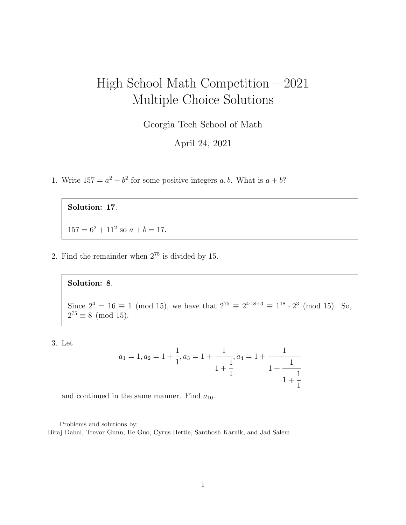# High School Math Competition – 2021 Multiple Choice Solutions

Georgia Tech School of Math

April 24, 2021

1. Write  $157 = a^2 + b^2$  for some positive integers a, b. What is  $a + b$ ?

Solution: 17.

 $157 = 6^2 + 11^2$  so  $a + b = 17$ .

2. Find the remainder when  $2^{75}$  is divided by 15.

#### Solution: 8.

Since  $2^4 = 16 \equiv 1 \pmod{15}$ , we have that  $2^{75} \equiv 2^{4 \cdot 18 + 3} \equiv 1^{18} \cdot 2^3 \pmod{15}$ . So,  $2^{75} \equiv 8 \pmod{15}$ .

3. Let

$$
a_1 = 1, a_2 = 1 + \frac{1}{1}, a_3 = 1 + \frac{1}{1 + \frac{1}{1}}, a_4 = 1 + \frac{1}{1 + \frac{1}{1 + \frac{1}{1}}}
$$

and continued in the same manner. Find  $a_{10}$ .

Problems and solutions by:

Biraj Dahal, Trevor Gunn, He Guo, Cyrus Hettle, Santhosh Karnik, and Jad Salem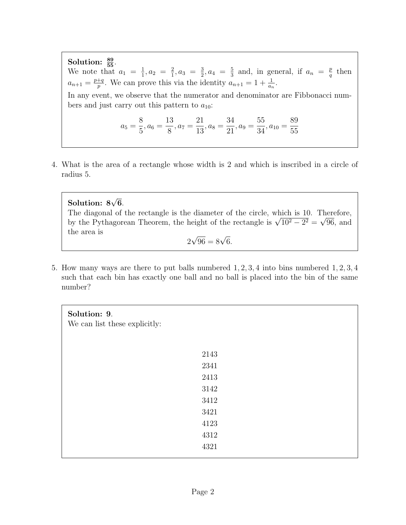Solution:  $\frac{89}{55}$ . We note that  $a_1 = \frac{1}{1}$  $\frac{1}{1}$ ,  $a_2 = \frac{2}{1}$  $\frac{2}{1}$ ,  $a_3 = \frac{3}{2}$  $\frac{3}{2}, a_4 = \frac{5}{3}$  $\frac{5}{3}$  and, in general, if  $a_n = \frac{p}{q}$  $\frac{p}{q}$  then  $a_{n+1} = \frac{p+q}{p}$  $\frac{+q}{p}$ . We can prove this via the identity  $a_{n+1} = 1 + \frac{1}{a_n}$ . In any event, we observe that the numerator and denominator are Fibbonacci numbers and just carry out this pattern to  $a_{10}$ :  $a_5 =$ 8  $\frac{6}{5}$ ,  $a_6 =$ 13  $\frac{8}{8}$ ,  $a_7 =$ 21  $\frac{21}{13}$ ,  $a_8 =$ 34  $\frac{31}{21}$ ,  $a_9 =$ 55  $\frac{33}{34}$ ,  $a_{10} =$ 89 55

4. What is the area of a rectangle whose width is 2 and which is inscribed in a circle of radius 5.

Solution:  $8\sqrt{6}$ . The diagonal of the rectangle is the diameter of the circle, which is 10. Therefore, The diagonal of the rectangle is the diameter of the circle, which is 10. Therefore, by the Pythagorean Theorem, the height of the rectangle is  $\sqrt{10^2 - 2^2} = \sqrt{96}$ , and the area is √

$$
2\sqrt{96} = 8\sqrt{6}.
$$

5. How many ways are there to put balls numbered 1, 2, 3, 4 into bins numbered 1, 2, 3, 4 such that each bin has exactly one ball and no ball is placed into the bin of the same number?

| Solution: 9.<br>We can list these explicitly: |      |  |
|-----------------------------------------------|------|--|
|                                               | 2143 |  |
|                                               | 2341 |  |
|                                               | 2413 |  |
|                                               | 3142 |  |
|                                               | 3412 |  |
|                                               | 3421 |  |
|                                               | 4123 |  |
|                                               | 4312 |  |
|                                               | 4321 |  |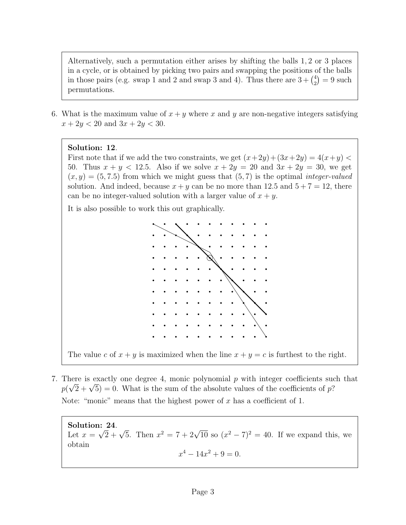Alternatively, such a permutation either arises by shifting the balls 1, 2 or 3 places in a cycle, or is obtained by picking two pairs and swapping the positions of the balls in those pairs (e.g. swap 1 and 2 and swap 3 and 4). Thus there are  $3 + {4 \choose 2}$  $_2^4$ ) = 9 such permutations.

6. What is the maximum value of  $x + y$  where x and y are non-negative integers satisfying  $x + 2y < 20$  and  $3x + 2y < 30$ .

## Solution: 12.

First note that if we add the two constraints, we get  $(x+2y)+(3x+2y) = 4(x+y)$ 50. Thus  $x + y < 12.5$ . Also if we solve  $x + 2y = 20$  and  $3x + 2y = 30$ , we get  $(x, y) = (5, 7.5)$  from which we might guess that  $(5, 7)$  is the optimal *integer-valued* solution. And indeed, because  $x + y$  can be no more than 12.5 and  $5 + 7 = 12$ , there can be no integer-valued solution with a larger value of  $x + y$ .

It is also possible to work this out graphically.



The value c of  $x + y$  is maximized when the line  $x + y = c$  is furthest to the right.

7. There is exactly one degree 4, monic polynomial p with integer coefficients such that There is exactly one degree 4, monic polynomial p with integer coefficients such  $p(\sqrt{2} + \sqrt{5}) = 0$ . What is the sum of the absolute values of the coefficients of p? Note: "monic" means that the highest power of x has a coefficient of 1.

Solution:  $24$ . **Solution: 24.**<br>Let  $x = \sqrt{2} + \sqrt{5}$ . Then  $x^2 = 7 + 2\sqrt{10}$  so  $(x^2 - 7)^2 = 40$ . If we expand this, we obtain  $x^4 - 14x^2 + 9 = 0.$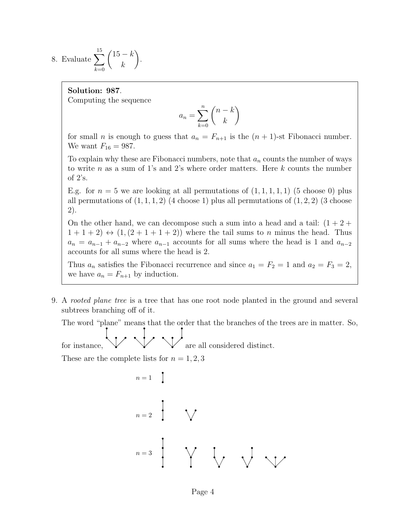8. Evaluate  $\sum$ 15  $_{k=0}$  $(15 - k)$ k  $\setminus$ .

#### Solution: 987.

Computing the sequence

$$
a_n = \sum_{k=0}^n \binom{n-k}{k}
$$

for small *n* is enough to guess that  $a_n = F_{n+1}$  is the  $(n + 1)$ -st Fibonacci number. We want  $F_{16} = 987$ .

To explain why these are Fibonacci numbers, note that  $a_n$  counts the number of ways to write n as a sum of 1's and 2's where order matters. Here  $k$  counts the number of 2's.

E.g. for  $n = 5$  we are looking at all permutations of  $(1, 1, 1, 1, 1)$  (5 choose 0) plus all permutations of  $(1, 1, 1, 2)$   $(4 \text{ choose } 1)$  plus all permutations of  $(1, 2, 2)$   $(3 \text{ choose } 2)$ 2).

On the other hand, we can decompose such a sum into a head and a tail:  $(1 + 2 +$  $1+1+2$   $\leftrightarrow$   $(1,(2+1+1+2))$  where the tail sums to n minus the head. Thus  $a_n = a_{n-1} + a_{n-2}$  where  $a_{n-1}$  accounts for all sums where the head is 1 and  $a_{n-2}$ accounts for all sums where the head is 2.

Thus  $a_n$  satisfies the Fibonacci recurrence and since  $a_1 = F_2 = 1$  and  $a_2 = F_3 = 2$ , we have  $a_n = F_{n+1}$  by induction.

9. A rooted plane tree is a tree that has one root node planted in the ground and several subtrees branching off of it.

The word "plane" means that the order that the branches of the trees are in matter. So,

for instance,  $\vee \vee \vee$  are all considered distinct.

These are the complete lists for  $n = 1, 2, 3$ 

$$
n = 1
$$
\n
$$
n = 2
$$
\n
$$
n = 3
$$
\n
$$
n = 3
$$
\n
$$
n = 4
$$
\n
$$
n = 3
$$
\n
$$
n = 3
$$
\n
$$
n = 4
$$
\n
$$
n = 3
$$
\n
$$
n = 3
$$
\n
$$
n = 4
$$
\n
$$
n = 4
$$
\n
$$
n = 5
$$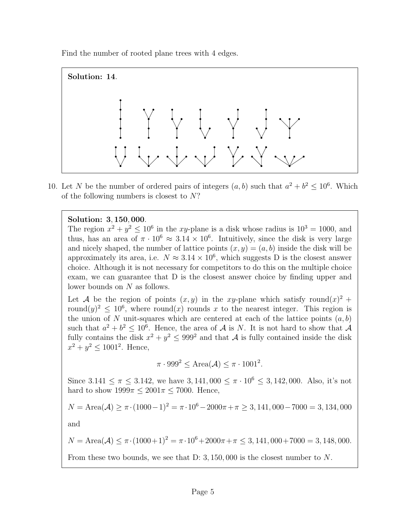Find the number of rooted plane trees with 4 edges.



10. Let N be the number of ordered pairs of integers  $(a, b)$  such that  $a^2 + b^2 \leq 10^6$ . Which of the following numbers is closest to  $N$ ?

## Solution: 3, 150, 000.

The region  $x^2 + y^2 \le 10^6$  in the xy-plane is a disk whose radius is  $10^3 = 1000$ , and thus, has an area of  $\pi \cdot 10^6 \approx 3.14 \times 10^6$ . Intuitively, since the disk is very large and nicely shaped, the number of lattice points  $(x, y) = (a, b)$  inside the disk will be approximately its area, i.e.  $N \approx 3.14 \times 10^6$ , which suggests D is the closest answer choice. Although it is not necessary for competitors to do this on the multiple choice exam, we can guarantee that D is the closest answer choice by finding upper and lower bounds on N as follows.

Let A be the region of points  $(x, y)$  in the xy-plane which satisfy round $(x)^2 +$ round $(y)^2 \leq 10^6$ , where round(x) rounds x to the nearest integer. This region is the union of N unit-squares which are centered at each of the lattice points  $(a, b)$ such that  $a^2 + b^2 \leq 10^6$ . Hence, the area of A is N. It is not hard to show that A fully contains the disk  $x^2 + y^2 \le 999^2$  and that A is fully contained inside the disk  $x^2 + y^2 \le 1001^2$ . Hence,

$$
\pi \cdot 999^2 \le \text{Area}(\mathcal{A}) \le \pi \cdot 1001^2.
$$

Since 3.141  $\leq \pi \leq 3.142$ , we have 3, 141, 000  $\leq \pi \cdot 10^6 \leq 3$ , 142, 000. Also, it's not hard to show  $1999\pi \leq 2001\pi \leq 7000$ . Hence,

$$
N = \text{Area}(\mathcal{A}) \ge \pi \cdot (1000 - 1)^2 = \pi \cdot 10^6 - 2000\pi + \pi \ge 3,141,000 - 7000 = 3,134,000
$$

and

$$
N = \text{Area}(\mathcal{A}) \le \pi \cdot (1000 + 1)^2 = \pi \cdot 10^6 + 2000\pi + \pi \le 3,141,000 + 7000 = 3,148,000.
$$

From these two bounds, we see that D: 3, 150,000 is the closest number to N.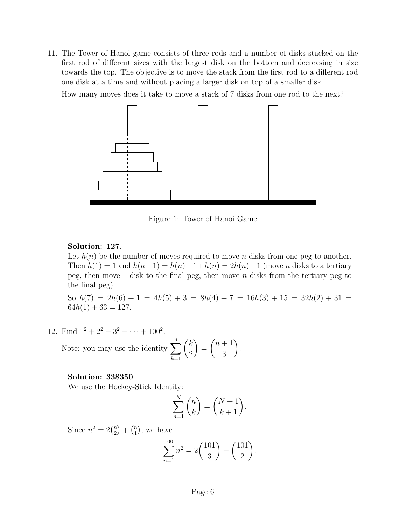11. The Tower of Hanoi game consists of three rods and a number of disks stacked on the first rod of different sizes with the largest disk on the bottom and decreasing in size towards the top. The objective is to move the stack from the first rod to a different rod one disk at a time and without placing a larger disk on top of a smaller disk.

How many moves does it take to move a stack of 7 disks from one rod to the next?



Figure 1: Tower of Hanoi Game

## Solution: 127.

Let  $h(n)$  be the number of moves required to move n disks from one peg to another. Then  $h(1) = 1$  and  $h(n+1) = h(n) + 1 + h(n) = 2h(n) + 1$  (move *n* disks to a tertiary peg, then move 1 disk to the final peg, then move  $n$  disks from the tertiary peg to the final peg).

So  $h(7) = 2h(6) + 1 = 4h(5) + 3 = 8h(4) + 7 = 16h(3) + 15 = 32h(2) + 31 =$  $64h(1) + 63 = 127.$ 

.

12. Find  $1^2 + 2^2 + 3^2 + \cdots + 100^2$ .

Note: you may use the identity  $\sum_{n=1}^n$  $k=1$  $\sqrt{k}$ 2  $\setminus$ =  $(n+1)$ 3  $\setminus$ 

## Solution: 338350.

We use the Hockey-Stick Identity:

$$
\sum_{n=1}^{N} \binom{n}{k} = \binom{N+1}{k+1}.
$$

Since  $n^2 = 2\binom{n}{2}$  $\binom{n}{2} + \binom{n}{1}$  $\binom{n}{1}$ , we have

$$
\sum_{n=1}^{100} n^2 = 2\binom{101}{3} + \binom{101}{2}.
$$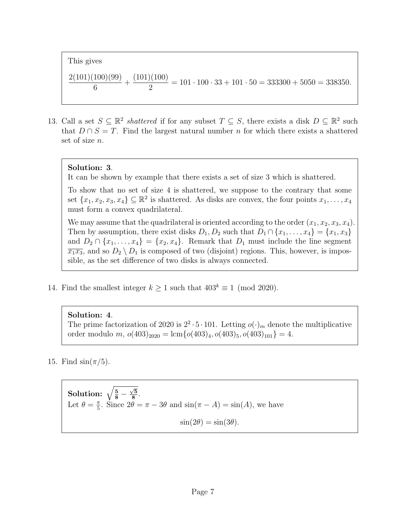This gives 2(101)(100)(99) 6  $+$  $(101)(100)$ 2  $= 101 \cdot 100 \cdot 33 + 101 \cdot 50 = 333300 + 5050 = 338350.$ 

13. Call a set  $S \subseteq \mathbb{R}^2$  shattered if for any subset  $T \subseteq S$ , there exists a disk  $D \subseteq \mathbb{R}^2$  such that  $D \cap S = T$ . Find the largest natural number n for which there exists a shattered set of size n.

#### Solution: 3.

It can be shown by example that there exists a set of size 3 which is shattered.

To show that no set of size 4 is shattered, we suppose to the contrary that some set  $\{x_1, x_2, x_3, x_4\} \subseteq \mathbb{R}^2$  is shattered. As disks are convex, the four points  $x_1, \ldots, x_4$ must form a convex quadrilateral.

We may assume that the quadrilateral is oriented according to the order  $(x_1, x_2, x_3, x_4)$ . Then by assumption, there exist disks  $D_1, D_2$  such that  $D_1 \cap \{x_1, \ldots, x_4\} = \{x_1, x_3\}$ and  $D_2 \cap \{x_1, \ldots, x_4\} = \{x_2, x_4\}.$  Remark that  $D_1$  must include the line segment  $\overline{x_1x_3}$ , and so  $D_2 \setminus D_1$  is composed of two (disjoint) regions. This, however, is impossible, as the set difference of two disks is always connected.

14. Find the smallest integer  $k \ge 1$  such that  $403^k \equiv 1 \pmod{2020}$ .

#### Solution: 4.

The prime factorization of 2020 is  $2^2 \cdot 5 \cdot 101$ . Letting  $o(\cdot)_m$  denote the multiplicative order modulo m,  $o(403)_{2020} = \text{lcm}\{o(403)_4, o(403)_5, o(403)_{101}\} = 4.$ 

15. Find  $\sin(\pi/5)$ .

**Solution:** 
$$
\sqrt{\frac{5}{8} - \frac{\sqrt{5}}{8}}
$$
.  
Let  $\theta = \frac{\pi}{5}$ . Since  $2\theta = \pi - 3\theta$  and  $\sin(\pi - A) = \sin(A)$ , we have  
 $\sin(2\theta) = \sin(3\theta)$ .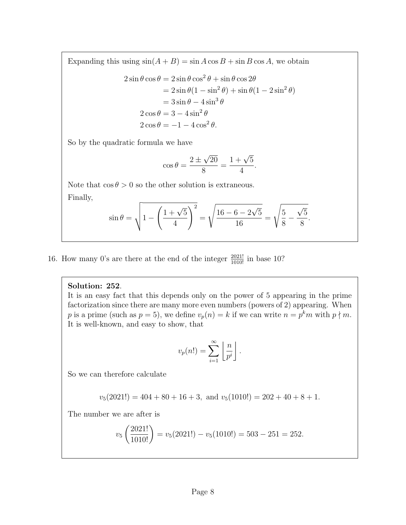Expanding this using  $sin(A + B) = sin A cos B + sin B cos A$ , we obtain

$$
2 \sin \theta \cos \theta = 2 \sin \theta \cos^2 \theta + \sin \theta \cos 2\theta
$$
  
=  $2 \sin \theta (1 - \sin^2 \theta) + \sin \theta (1 - 2 \sin^2 \theta)$   
=  $3 \sin \theta - 4 \sin^3 \theta$   
 $2 \cos \theta = 3 - 4 \sin^2 \theta$   
 $2 \cos \theta = -1 - 4 \cos^2 \theta.$ 

So by the quadratic formula we have

$$
\cos \theta = \frac{2 \pm \sqrt{20}}{8} = \frac{1 + \sqrt{5}}{4}.
$$

Note that  $\cos \theta > 0$  so the other solution is extraneous. Finally,

$$
\sin \theta = \sqrt{1 - \left(\frac{1 + \sqrt{5}}{4}\right)^2} = \sqrt{\frac{16 - 6 - 2\sqrt{5}}{16}} = \sqrt{\frac{5}{8} - \frac{\sqrt{5}}{8}}.
$$

16. How many 0's are there at the end of the integer  $\frac{2021!}{1010!}$  in base 10?

## Solution: 252.

It is an easy fact that this depends only on the power of 5 appearing in the prime factorization since there are many more even numbers (powers of 2) appearing. When p is a prime (such as  $p = 5$ ), we define  $v_p(n) = k$  if we can write  $n = p^k m$  with  $p \nmid m$ . It is well-known, and easy to show, that

$$
v_p(n!) = \sum_{i=1}^{\infty} \left\lfloor \frac{n}{p^i} \right\rfloor
$$

.

So we can therefore calculate

$$
v_5(2021!) = 404 + 80 + 16 + 3
$$
, and  $v_5(1010!) = 202 + 40 + 8 + 1$ .

The number we are after is

$$
v_5\left(\frac{2021!}{1010!}\right) = v_5(2021!) - v_5(1010!) = 503 - 251 = 252.
$$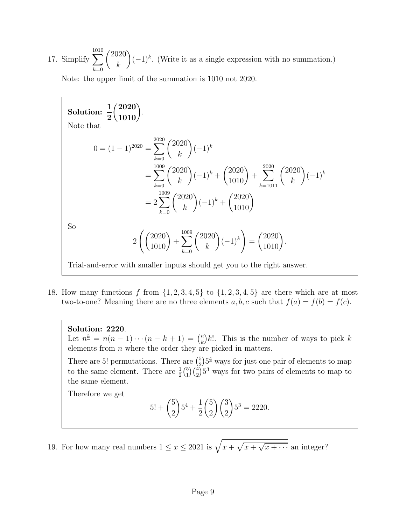17. Simplify  $\sum$ 1010  $_{k=0}$  $/2020$ k  $(-1)^k$ . (Write it as a single expression with no summation.)

Note: the upper limit of the summation is 1010 not 2020.

Solution: 
$$
\frac{1}{2} {2020 \choose 1010}
$$
  
\nNote that  
\n
$$
0 = (1-1)^{2020} = \sum_{k=0}^{2020} {2020 \choose k} (-1)^k
$$
\n
$$
= \sum_{k=0}^{1009} {2020 \choose k} (-1)^k + {2020 \choose 1010} + \sum_{k=1011}^{2020} {2020 \choose k} (-1)^k
$$
\n
$$
= 2 \sum_{k=0}^{1009} {2020 \choose k} (-1)^k + {2020 \choose 1010}
$$
\nSo  
\n
$$
2 \left( {2020 \choose 1010} + \sum_{k=0}^{1009} {2020 \choose k} (-1)^k \right) = {2020 \choose 1010}.
$$
\nTrial-and-error with smaller inputs should get you to the right answer.

18. How many functions f from  $\{1, 2, 3, 4, 5\}$  to  $\{1, 2, 3, 4, 5\}$  are there which are at most two-to-one? Meaning there are no three elements a, b, c such that  $f(a) = f(b) = f(c)$ .

Solution: 2220.

Let  $n^{\underline{k}} = n(n-1)\cdots(n-k+1) = {n \choose k}$  $\binom{n}{k}k!$ . This is the number of ways to pick k elements from  $n$  where the order they are picked in matters.

There are 5! permutations. There are  $\binom{5}{2}$  $^{5}_{2}$ ) $5^{4}$  ways for just one pair of elements to map to the same element. There are  $\frac{1}{2}$  $\binom{5}{1}$  $\binom{5}{1}\binom{4}{2}5^3$  ways for two pairs of elements to map to the same element.

Therefore we get

$$
5! + {5 \choose 2} 5^{\underline{4}} + \frac{1}{2} {5 \choose 2} {3 \choose 2} 5^{\underline{3}} = 2220.
$$

19. For how many real numbers  $1 \leq x \leq 2021$  is  $\sqrt{x + \sqrt{x + x^2}}$ √  $\overline{x + \cdots}$  an integer?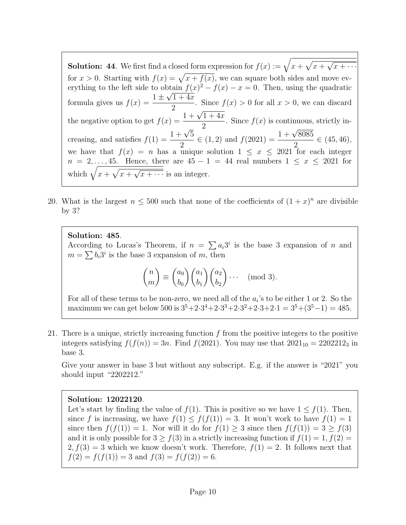**Solution:** 44. We first find a closed form expression for  $f(x) := \sqrt{x + \sqrt{x + x^2}}$ √  $\overline{x + \cdots}$ for  $x > 0$ . Starting with  $f(x) = \sqrt{x + f(x)}$ , we can square both sides and move everything to the left side to obtain  $f(x)^2 - f(x) - x = 0$ . Then, using the quadratic formula gives us  $f(x) = \frac{1 \pm \sqrt{1 + 4x}}{2}$ 2 . Since  $f(x) > 0$  for all  $x > 0$ , we can discard the negative option to get  $f(x) = \frac{1 + \sqrt{x}}{x}$  $\frac{1}{1+4x}$ 2 . Since  $f(x)$  is continuous, strictly increasing, and satisfies  $f(1) = \frac{1 + \sqrt{3}}{2}$ 5 2 2<br>  $\in (1, 2)$  and  $f(2021) = \frac{1+\sqrt{2}}{2}$ 8085 2  $\in (45, 46),$ we have that  $f(x) = n$  has a unique solution  $1 \leq x \leq 2021$  for each integer  $n = 2, \ldots, 45$ . Hence, there are  $45 - 1 = 44$  real numbers  $1 \leq x \leq 2021$  for which  $\sqrt{x + \sqrt{x +$ √  $\overline{x + \cdots}$  is an integer.

20. What is the largest  $n \leq 500$  such that none of the coefficients of  $(1+x)^n$  are divisible by 3?

Solution: 485.

According to Lucas's Theorem, if  $n = \sum a_i 3^i$  is the base 3 expansion of n and  $m = \sum b_i 3^i$  is the base 3 expansion of m, then

$$
\binom{n}{m} \equiv \binom{a_0}{b_0} \binom{a_1}{b_1} \binom{a_2}{b_2} \cdots \pmod{3}.
$$

For all of these terms to be non-zero, we need all of the  $a_i$ 's to be either 1 or 2. So the maximum we can get below 500 is  $3^5 + 2 \cdot 3^4 + 2 \cdot 3^3 + 2 \cdot 3^2 + 2 \cdot 3 + 2 \cdot 1 = 3^5 + (3^5 - 1) = 485$ .

21. There is a unique, strictly increasing function  $f$  from the positive integers to the positive integers satisfying  $f(f(n)) = 3n$ . Find  $f(2021)$ . You may use that  $2021_{10} = 2202212_3$  in base 3.

Give your answer in base 3 but without any subscript. E.g. if the answer is "2021" you should input "2202212."

#### Solution: 12022120.

Let's start by finding the value of  $f(1)$ . This is positive so we have  $1 \le f(1)$ . Then, since f is increasing, we have  $f(1) \leq f(f(1)) = 3$ . It won't work to have  $f(1) = 1$ since then  $f(f(1)) = 1$ . Nor will it do for  $f(1) \geq 3$  since then  $f(f(1)) = 3 \geq f(3)$ and it is only possible for  $3 \ge f(3)$  in a strictly increasing function if  $f(1) = 1, f(2) =$  $2, f(3) = 3$  which we know doesn't work. Therefore,  $f(1) = 2$ . It follows next that  $f(2) = f(f(1)) = 3$  and  $f(3) = f(f(2)) = 6$ .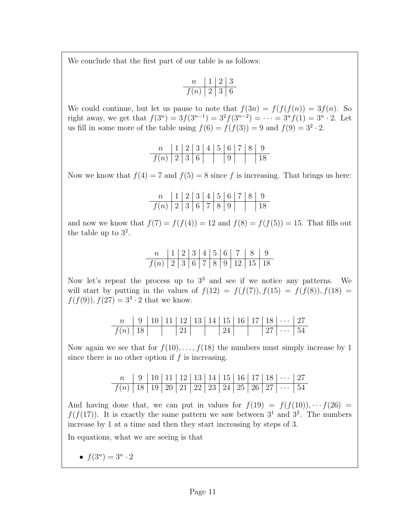We conclude that the first part of our table is as follows:

$$
\begin{array}{c|c|c|c|c} n & 1 & 2 & 3 \\ \hline f(n) & 2 & 3 & 6 \\ \end{array}
$$

We could continue, but let us pause to note that  $f(3n) = f(f(f(n)) = 3f(n)$ . So right away, we get that  $f(3^n) = 3f(3^{n-1}) = 3^2f(3^{n-2}) = \cdots = 3^n f(1) = 3^n \cdot 2$ . Let us fill in some more of the table using  $f(6) = f(f(3)) = 9$  and  $f(9) = 3^2 \cdot 2$ .

n 1 2 3 4 5 6 7 8 9 f(n) 2 3 6 9 18

Now we know that  $f(4) = 7$  and  $f(5) = 8$  since f is increasing. That brings us here:

n 1 2 3 4 5 6 7 8 9 f(n) 2 3 6 7 8 9 18

and now we know that  $f(7) = f(f(4)) = 12$  and  $f(8) = f(f(5)) = 15$ . That fills out the table up to  $3^2$ .

n 1 2 3 4 5 6 7 8 9 f(n) 2 3 6 7 8 9 12 15 18

Now let's repeat the process up to  $3<sup>3</sup>$  and see if we notice any patterns. We will start by putting in the values of  $f(12) = f(f(7)), f(15) = f(f(8)), f(18) =$  $f(f(9)), f(27) = 3<sup>3</sup> \cdot 2$  that we know.

|             |  |                  |  |                |  | $9   10   11   12   13   14   15   16   17   18   \cdots   27$ |  |
|-------------|--|------------------|--|----------------|--|----------------------------------------------------------------|--|
| $f(n)$   18 |  | $\vert 21 \vert$ |  | $\frac{24}{ }$ |  | $\mid 27 \mid \dots \mid 54 \mid$                              |  |

Now again we see that for  $f(10), \ldots, f(18)$  the numbers must simply increase by 1 since there is no other option if  $f$  is increasing.

n 9 10 11 12 13 14 15 16 17 18 · · · 27 f(n) 18 19 20 21 22 23 24 25 26 27 · · · 54

And having done that, we can put in values for  $f(19) = f(f(10)), \cdots f(26) =$  $f(f(17))$ . It is exactly the same pattern we saw between  $3<sup>1</sup>$  and  $3<sup>2</sup>$ . The numbers increase by 1 at a time and then they start increasing by steps of 3.

In equations, what we are seeing is that

•  $f(3^n) = 3^n \cdot 2$